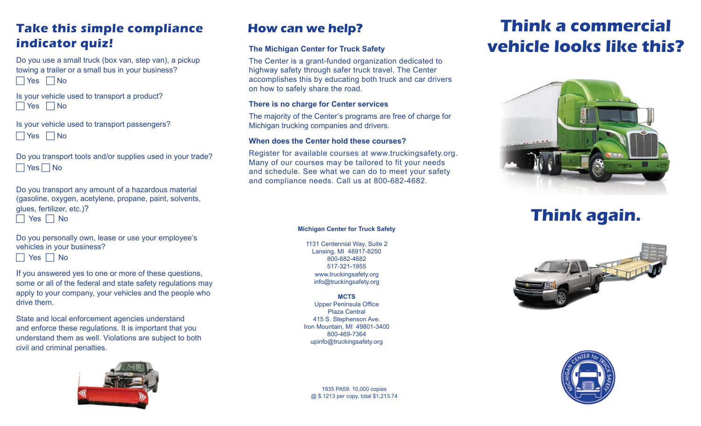### **Take this simple compliance indicator quiz!**

Do you use a small truck (box van, step van), a pickup towing a trailer or a small bus in your business?  $\Box$  Yes  $\Box$  No

Is your vehicle used to transport a product?  $\Box$  Yes  $\Box$  No

Is your vehicle used to transport passengers?  $\Box$  Yes  $\Box$  No

Do you transport tools and/or supplies used in your trade?  $\Box$  Yes  $\Box$  No

Do you transport any amount of a hazardous material (gasoline, oxygen, acetylene, propane, paint, solvents, glues, fertilizer, etc.)?

 $\Box$  Yes  $\Box$  No

Do you personally own, lease or use your employee's vehicles in your business?

 $\Box$  Yes  $\Box$  No

If you answered yes to one or more of these questions, some or all of the federal and state safety regulations may apply to your company, your vehicles and the people who drive them.

State and local enforcement agencies understand and enforce these regulations. It is important that you understand them as well. Violations are subject to both civil and criminal penalties.



### **How can we help?**

#### **The Michigan Center for Truck Safety**

The Center is a grant-funded organization dedicated to highway safety through safer truck travel. The Center accomplishes this by educating both truck and car drivers on how to safely share the road.

#### **There is no charge for Center services**

The majority of the Center's programs are free of charge for Michigan trucking companies and drivers.

#### **When does the Center hold these courses?**

Register for available courses at www.truckingsafety.org. Many of our courses may be tailored to fit your needs and schedule. See what we can do to meet your safety and compliance needs. Call us at 800-682-4682.

#### **Michigan Center for Truck Safety**

1131 Centennial Way, Suite 2 Lansing, MI 48917-8250 800-682-4682 517-321-1955 www.truckingsafety.org info@truckingsafety.org

**MCTS** Upper Peninsula Office Plaza Central 415 S. Stephenson Ave. Iron Mountain, MI 49801-3400 800-469-7364 upinfo@truckingsafety.org

1935 PA59: 10,000 copies @ \$.1213 per copy, total \$1,213.74

# **Think a commercial vehicle looks like this?**



## **Think again.**